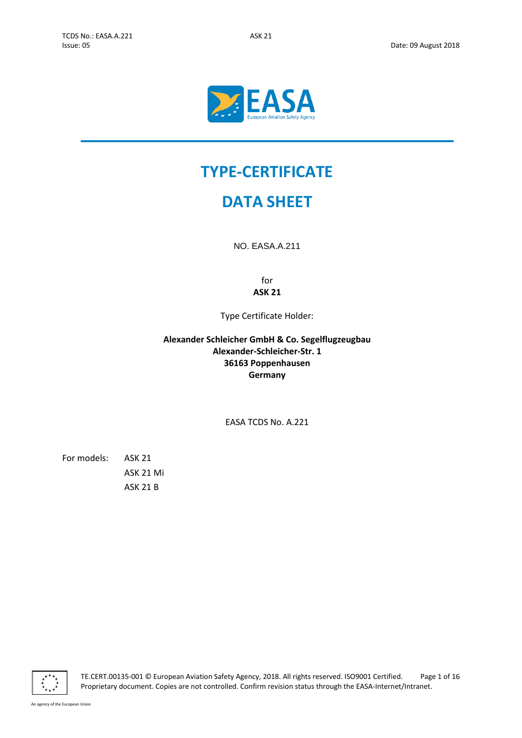

# **TYPE-CERTIFICATE**

# **DATA SHEET**

NO. EASA.A.211

for **ASK 21**

Type Certificate Holder:

<span id="page-0-4"></span>**Alexander Schleicher GmbH & Co. Segelflugzeugbau Alexander-Schleicher-Str. 1 36163 Poppenhausen Germany**

<span id="page-0-3"></span>EASA TCDS No. A.221

<span id="page-0-2"></span><span id="page-0-1"></span><span id="page-0-0"></span>For models: ASK 21 ASK 21 Mi ASK 21 B



TE.CERT.00135-001 © European Aviation Safety Agency, 2018. All rights reserved. ISO9001 Certified. Page 1 of 16 Proprietary document. Copies are not controlled. Confirm revision status through the EASA-Internet/Intranet.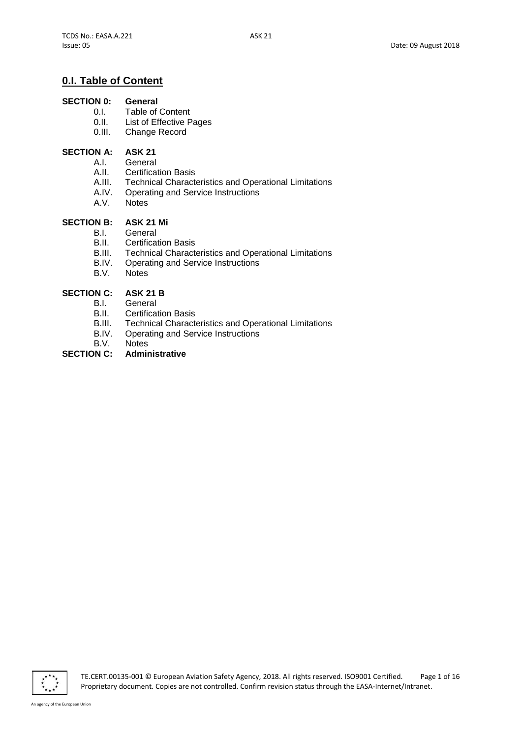# **0.I. Table of Content**

# **SECTION 0: General**<br>0.1. **Table of**

- 0.I. Table of Content<br>0.II. List of Effective P
- List of Effective Pages
- 0.III. Change Record

### **SECTION A: [ASK 21](#page-0-0)**

- A.I. General
- A.II. Certification Basis
- A.III. Technical Characteristics and Operational Limitations
- A.IV. Operating and Service Instructions
- A.V. Notes

## **SECTION B: [ASK 21 Mi](#page-0-1)**

- B.I. General
- B.II. Certification Basis
- B.III. Technical Characteristics and Operational Limitations
- B.IV. Operating and Service Instructions
- B.V. Notes

# **SECTION C: [ASK 21 B](#page-0-2)**<br>**B.L.** General

- General
- **B.II.** Certification Basis<br>**B.III.** Technical Charact
- B.III. Technical Characteristics and Operational Limitations<br>B.IV. Operating and Service Instructions
- Operating and Service Instructions
- 

#### B.V. Notes<br>**SECTION C: Admir SECTION C: Administrative**

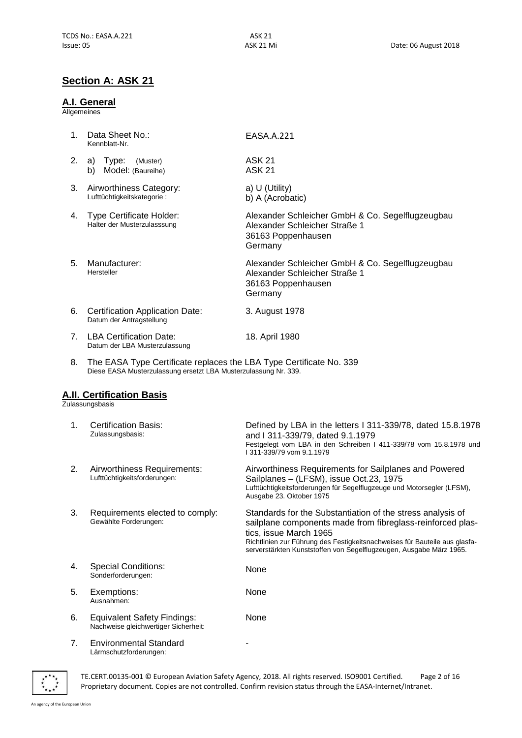# **Section A: [ASK](#page-0-0) 21**

#### **A.I. General**

**Allgemeines** 

| $\mathbf{1}$                   | Data Sheet No.:<br>Kennblatt-Nr.                               | EASA.A.221                                                                                                         |
|--------------------------------|----------------------------------------------------------------|--------------------------------------------------------------------------------------------------------------------|
| 2.                             | Type:<br>(Muster)<br>a)<br>Model: (Baureihe)<br>b)             | <b>ASK 21</b><br><b>ASK 21</b>                                                                                     |
| 3.                             | Airworthiness Category:<br>Lufttüchtigkeitskategorie:          | a) U (Utility)<br>b) A (Acrobatic)                                                                                 |
| 4.                             | <b>Type Certificate Holder:</b><br>Halter der Musterzulasssung | Alexander Schleicher GmbH & Co. Segelflugzeugbau<br>Alexander Schleicher Straße 1<br>36163 Poppenhausen<br>Germany |
| 5.                             | Manufacturer:<br>Hersteller                                    | Alexander Schleicher GmbH & Co. Segelflugzeugbau<br>Alexander Schleicher Straße 1<br>36163 Poppenhausen<br>Germany |
| 6.                             | Certification Application Date:<br>Datum der Antragstellung    | 3. August 1978                                                                                                     |
| $7_{\scriptscriptstyle{\sim}}$ | LBA Certification Date:<br>Datum der LBA Musterzulassung       | 18. April 1980                                                                                                     |
|                                |                                                                | .                                                                                                                  |

8. The EASA Type Certificate replaces the LBA Type Certificate No. 339 Diese EASA Musterzulassung ersetzt LBA Musterzulassung Nr. 339.

## **A.II. Certification Basis**

Zulassungsbasis

| 1 <sub>1</sub> | <b>Certification Basis:</b><br>Zulassungsbasis:                            | Defined by LBA in the letters I 311-339/78, dated 15.8.1978<br>and I 311-339/79, dated 9.1.1979<br>Festgelegt vom LBA in den Schreiben I 411-339/78 vom 15.8.1978 und<br>1311-339/79 vom 9.1.1979                                                                                                       |
|----------------|----------------------------------------------------------------------------|---------------------------------------------------------------------------------------------------------------------------------------------------------------------------------------------------------------------------------------------------------------------------------------------------------|
| 2.             | Airworthiness Requirements:<br>Lufttüchtigkeitsforderungen:                | Airworthiness Requirements for Sailplanes and Powered<br>Sailplanes - (LFSM), issue Oct.23, 1975<br>Lufttüchtigkeitsforderungen für Segelflugzeuge und Motorsegler (LFSM),<br>Ausgabe 23. Oktober 1975                                                                                                  |
| 3.             | Requirements elected to comply:<br>Gewählte Forderungen:                   | Standards for the Substantiation of the stress analysis of<br>sailplane components made from fibreglass-reinforced plas-<br>tics, issue March 1965<br>Richtlinien zur Führung des Festigkeitsnachweises für Bauteile aus glasfa-<br>serverstärkten Kunststoffen von Segelflugzeugen, Ausgabe März 1965. |
| 4.             | <b>Special Conditions:</b><br>Sonderforderungen:                           | None                                                                                                                                                                                                                                                                                                    |
| 5.             | Exemptions:<br>Ausnahmen:                                                  | None                                                                                                                                                                                                                                                                                                    |
| 6.             | <b>Equivalent Safety Findings:</b><br>Nachweise gleichwertiger Sicherheit: | None                                                                                                                                                                                                                                                                                                    |
| 7.             | <b>Environmental Standard</b>                                              |                                                                                                                                                                                                                                                                                                         |

7. Environmental Standard Lärmschutzforderungen:

 $\overline{\cdots}$ 

TE.CERT.00135-001 © European Aviation Safety Agency, 2018. All rights reserved. ISO9001 Certified. Page 2 of 16 Proprietary document. Copies are not controlled. Confirm revision status through the EASA-Internet/Intranet.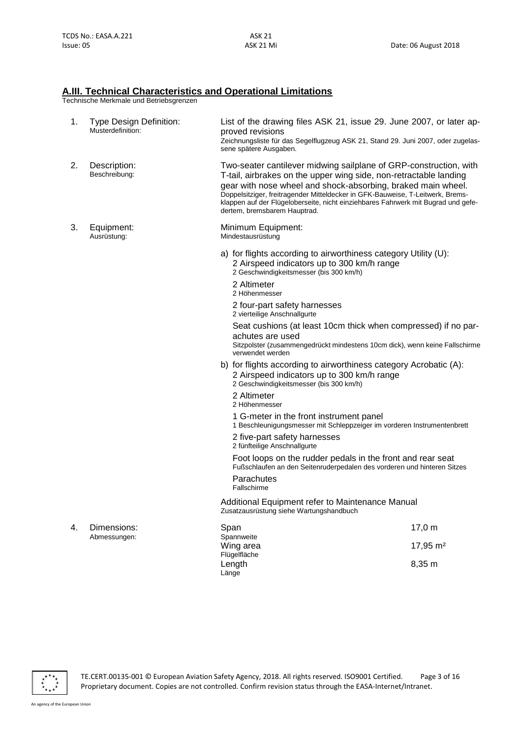#### **A.III. Technical Characteristics and Operational Limitations**

Technische Merkmale und Betriebsgrenzen

| 1. | Type Design Definition:<br>Musterdefinition: | List of the drawing files ASK 21, issue 29. June 2007, or later ap-<br>proved revisions<br>Zeichnungsliste für das Segelflugzeug ASK 21, Stand 29. Juni 2007, oder zugelas-<br>sene spätere Ausgaben.                                                                                                                                                                                                         |                      |
|----|----------------------------------------------|---------------------------------------------------------------------------------------------------------------------------------------------------------------------------------------------------------------------------------------------------------------------------------------------------------------------------------------------------------------------------------------------------------------|----------------------|
| 2. | Description:<br>Beschreibung:                | Two-seater cantilever midwing sailplane of GRP-construction, with<br>T-tail, airbrakes on the upper wing side, non-retractable landing<br>gear with nose wheel and shock-absorbing, braked main wheel.<br>Doppelsitziger, freitragender Mitteldecker in GFK-Bauweise, T-Leitwerk, Brems-<br>klappen auf der Flügeloberseite, nicht einziehbares Fahrwerk mit Bugrad und gefe-<br>dertem, bremsbarem Hauptrad. |                      |
| 3. | Equipment:<br>Ausrüstung:                    | Minimum Equipment:<br>Mindestausrüstung                                                                                                                                                                                                                                                                                                                                                                       |                      |
|    |                                              | a) for flights according to airworthiness category Utility (U):<br>2 Airspeed indicators up to 300 km/h range<br>2 Geschwindigkeitsmesser (bis 300 km/h)<br>2 Altimeter<br>2 Höhenmesser<br>2 four-part safety harnesses                                                                                                                                                                                      |                      |
|    |                                              | 2 vierteilige Anschnallgurte<br>Seat cushions (at least 10cm thick when compressed) if no par-<br>achutes are used<br>Sitzpolster (zusammengedrückt mindestens 10cm dick), wenn keine Fallschirme<br>verwendet werden                                                                                                                                                                                         |                      |
|    |                                              | b) for flights according to airworthiness category Acrobatic (A):<br>2 Airspeed indicators up to 300 km/h range<br>2 Geschwindigkeitsmesser (bis 300 km/h)<br>2 Altimeter                                                                                                                                                                                                                                     |                      |
|    |                                              | 2 Höhenmesser<br>1 G-meter in the front instrument panel<br>1 Beschleunigungsmesser mit Schleppzeiger im vorderen Instrumentenbrett<br>2 five-part safety harnesses<br>2 fünfteilige Anschnallgurte                                                                                                                                                                                                           |                      |
|    |                                              | Foot loops on the rudder pedals in the front and rear seat<br>Fußschlaufen an den Seitenruderpedalen des vorderen und hinteren Sitzes<br>Parachutes<br>Fallschirme                                                                                                                                                                                                                                            |                      |
|    |                                              | Additional Equipment refer to Maintenance Manual<br>Zusatzausrüstung siehe Wartungshandbuch                                                                                                                                                                                                                                                                                                                   |                      |
| 4. | Dimensions:<br>Abmessungen:                  | Span<br>Spannweite                                                                                                                                                                                                                                                                                                                                                                                            | 17,0 m               |
|    |                                              | Wing area<br>Flügelfläche                                                                                                                                                                                                                                                                                                                                                                                     | 17,95 m <sup>2</sup> |
|    |                                              | Length<br>Länge                                                                                                                                                                                                                                                                                                                                                                                               | 8,35 m               |



TE.CERT.00135-001 © European Aviation Safety Agency, 2018. All rights reserved. ISO9001 Certified. Page 3 of 16 Proprietary document. Copies are not controlled. Confirm revision status through the EASA-Internet/Intranet.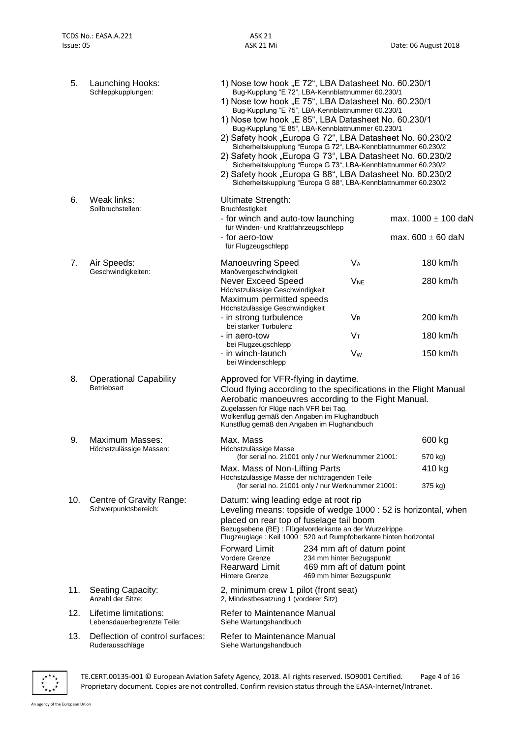| 5.  | Launching Hooks:<br>Schleppkupplungen:               | 1) Nose tow hook "E 72", LBA Datasheet No. 60.230/1<br>Bug-Kupplung "E 72", LBA-Kennblattnummer 60.230/1<br>1) Nose tow hook "E 75", LBA Datasheet No. 60.230/1<br>Bug-Kupplung "E 75", LBA-Kennblattnummer 60.230/1<br>1) Nose tow hook "E 85", LBA Datasheet No. 60.230/1<br>Bug-Kupplung "E 85", LBA-Kennblattnummer 60.230/1<br>2) Safety hook "Europa G 72", LBA Datasheet No. 60.230/2<br>Sicherheitskupplung "Europa G 72", LBA-Kennblattnummer 60.230/2<br>2) Safety hook "Europa G 73", LBA Datasheet No. 60.230/2<br>Sicherheitskupplung "Europa G 73", LBA-Kennblattnummer 60.230/2<br>2) Safety hook "Europa G 88", LBA Datasheet No. 60.230/2<br>Sicherheitskupplung "Europa G 88", LBA-Kennblattnummer 60.230/2 |                                                                                                                  |                                                                   |
|-----|------------------------------------------------------|-------------------------------------------------------------------------------------------------------------------------------------------------------------------------------------------------------------------------------------------------------------------------------------------------------------------------------------------------------------------------------------------------------------------------------------------------------------------------------------------------------------------------------------------------------------------------------------------------------------------------------------------------------------------------------------------------------------------------------|------------------------------------------------------------------------------------------------------------------|-------------------------------------------------------------------|
| 6.  | Weak links:<br>Sollbruchstellen:                     | Ultimate Strength:<br>Bruchfestigkeit<br>- for winch and auto-tow launching                                                                                                                                                                                                                                                                                                                                                                                                                                                                                                                                                                                                                                                   |                                                                                                                  | max. $1000 \pm 100$ daN                                           |
|     |                                                      | für Winden- und Kraftfahrzeugschlepp<br>- for aero-tow<br>für Flugzeugschlepp                                                                                                                                                                                                                                                                                                                                                                                                                                                                                                                                                                                                                                                 |                                                                                                                  | max. $600 \pm 60$ daN                                             |
| 7.  | Air Speeds:                                          | <b>Manoeuvring Speed</b>                                                                                                                                                                                                                                                                                                                                                                                                                                                                                                                                                                                                                                                                                                      | $V_A$                                                                                                            | 180 km/h                                                          |
|     | Geschwindigkeiten:                                   | Manövergeschwindigkeit<br><b>Never Exceed Speed</b><br>Höchstzulässige Geschwindigkeit<br>Maximum permitted speeds                                                                                                                                                                                                                                                                                                                                                                                                                                                                                                                                                                                                            | <b>V<sub>NE</sub></b>                                                                                            | 280 km/h                                                          |
|     |                                                      | Höchstzulässige Geschwindigkeit<br>- in strong turbulence<br>bei starker Turbulenz                                                                                                                                                                                                                                                                                                                                                                                                                                                                                                                                                                                                                                            | $V_B$                                                                                                            | 200 km/h                                                          |
|     |                                                      | - in aero-tow                                                                                                                                                                                                                                                                                                                                                                                                                                                                                                                                                                                                                                                                                                                 | $V_T$                                                                                                            | 180 km/h                                                          |
|     |                                                      | bei Flugzeugschlepp<br>- in winch-launch<br>bei Windenschlepp                                                                                                                                                                                                                                                                                                                                                                                                                                                                                                                                                                                                                                                                 | V <sub>w</sub>                                                                                                   | $150$ km/h                                                        |
| 8.  | <b>Operational Capability</b><br>Betriebsart         | Approved for VFR-flying in daytime.<br>Aerobatic manoeuvres according to the Fight Manual.<br>Zugelassen für Flüge nach VFR bei Tag.<br>Wolkenflug gemäß den Angaben im Flughandbuch<br>Kunstflug gemäß den Angaben im Flughandbuch                                                                                                                                                                                                                                                                                                                                                                                                                                                                                           |                                                                                                                  | Cloud flying according to the specifications in the Flight Manual |
| 9.  | Maximum Masses:<br>Höchstzulässige Massen:           | Max. Mass<br>Höchstzulässige Masse                                                                                                                                                                                                                                                                                                                                                                                                                                                                                                                                                                                                                                                                                            |                                                                                                                  | 600 kg                                                            |
|     |                                                      |                                                                                                                                                                                                                                                                                                                                                                                                                                                                                                                                                                                                                                                                                                                               | (for serial no. 21001 only / nur Werknummer 21001:                                                               | 570 kg)                                                           |
|     |                                                      | Max. Mass of Non-Lifting Parts<br>Höchstzulässige Masse der nichttragenden Teile                                                                                                                                                                                                                                                                                                                                                                                                                                                                                                                                                                                                                                              | (for serial no. 21001 only / nur Werknummer 21001:                                                               | 410 kg<br>375 kg)                                                 |
| 10. | Centre of Gravity Range:<br>Schwerpunktsbereich:     | Datum: wing leading edge at root rip<br>placed on rear top of fuselage tail boom<br>Bezugsebene (BE) : Flügelvorderkante an der Wurzelrippe<br>Flugzeuglage : Keil 1000 : 520 auf Rumpfoberkante hinten horizontal                                                                                                                                                                                                                                                                                                                                                                                                                                                                                                            |                                                                                                                  | Leveling means: topside of wedge 1000 : 52 is horizontal, when    |
|     |                                                      | <b>Forward Limit</b><br>Vordere Grenze<br><b>Rearward Limit</b><br><b>Hintere Grenze</b>                                                                                                                                                                                                                                                                                                                                                                                                                                                                                                                                                                                                                                      | 234 mm aft of datum point<br>234 mm hinter Bezugspunkt<br>469 mm aft of datum point<br>469 mm hinter Bezugspunkt |                                                                   |
| 11. | Seating Capacity:<br>Anzahl der Sitze:               | 2, minimum crew 1 pilot (front seat)<br>2, Mindestbesatzung 1 (vorderer Sitz)                                                                                                                                                                                                                                                                                                                                                                                                                                                                                                                                                                                                                                                 |                                                                                                                  |                                                                   |
| 12. | Lifetime limitations:<br>Lebensdauerbegrenzte Teile: | Refer to Maintenance Manual<br>Siehe Wartungshandbuch                                                                                                                                                                                                                                                                                                                                                                                                                                                                                                                                                                                                                                                                         |                                                                                                                  |                                                                   |
| 13. | Deflection of control surfaces:<br>Ruderausschläge   | Refer to Maintenance Manual<br>Siehe Wartungshandbuch                                                                                                                                                                                                                                                                                                                                                                                                                                                                                                                                                                                                                                                                         |                                                                                                                  |                                                                   |



TE.CERT.00135-001 © European Aviation Safety Agency, 2018. All rights reserved. ISO9001 Certified. Page 4 of 16 Proprietary document. Copies are not controlled. Confirm revision status through the EASA-Internet/Intranet.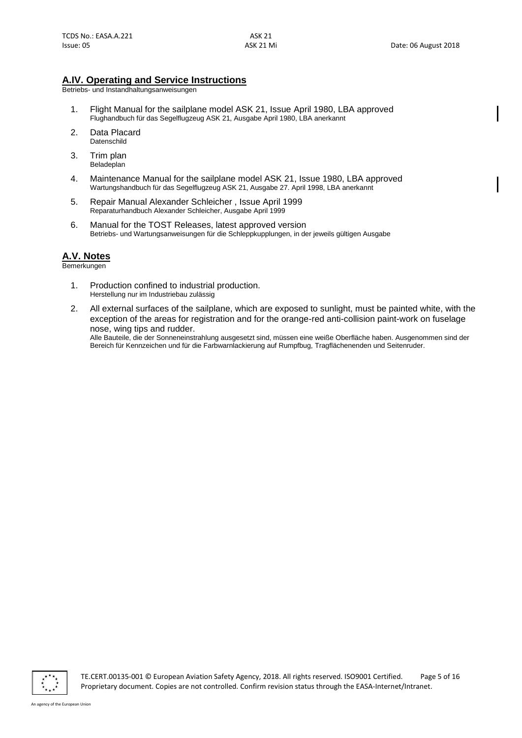## **A.IV. Operating and Service Instructions**

Betriebs- und Instandhaltungsanweisungen

- 1. Flight Manual for the sailplane model ASK 21, Issue April 1980, LBA approved Flughandbuch für das Segelflugzeug ASK 21, Ausgabe April 1980, LBA anerkannt
- 2. Data Placard **Datenschild**
- 3. Trim plan Beladeplan
- 4. Maintenance Manual for the sailplane model ASK 21, Issue 1980, LBA approved Wartungshandbuch für das Segelflugzeug ASK 21, Ausgabe 27. April 1998, LBA anerkannt
- 5. Repair Manual Alexander Schleicher , Issue April 1999 Reparaturhandbuch Alexander Schleicher, Ausgabe April 1999
- 6. Manual for the TOST Releases, latest approved version Betriebs- und Wartungsanweisungen für die Schleppkupplungen, in der jeweils gültigen Ausgabe

## **A.V. Notes**

Bemerkungen

- 1. Production confined to industrial production. Herstellung nur im Industriebau zulässig
- 2. All external surfaces of the sailplane, which are exposed to sunlight, must be painted white, with the exception of the areas for registration and for the orange-red anti-collision paint-work on fuselage nose, wing tips and rudder.

Alle Bauteile, die der Sonneneinstrahlung ausgesetzt sind, müssen eine weiße Oberfläche haben. Ausgenommen sind der Bereich für Kennzeichen und für die Farbwarnlackierung auf Rumpfbug, Tragflächenenden und Seitenruder.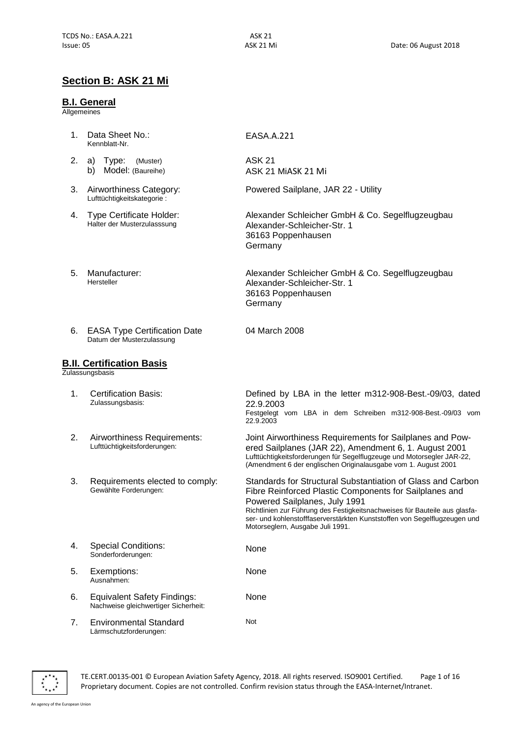EASA.[A.221](#page-0-3)

ASK 21 Mi[ASK 21 Mi](#page-0-1)

Powered Sailplane, JAR 22 - Utility

[Alexander-Schleicher-Str. 1](#page-0-4) 36163 [Poppenhausen](#page-0-4)

[Alexander-Schleicher-Str.](#page-0-4) 1 [36163 Poppenhausen](#page-0-4)

[Alexander Schleicher GmbH & Co. Segelflugzeugbau](#page-0-4)

[Alexander Schleicher GmbH & Co. Segelflugzeugbau](#page-0-4)

ASK 21

[Germany](#page-0-4)

[Germany](#page-0-4)

04 March 2008

## **Section B: [ASK 21 Mi](#page-0-1)**

#### **B.I. General**

**Allgemeines** 

- 1. Data Sheet No.: Kennblatt-Nr.
- 2. a) Type: (Muster) b) Model: (Baureihe)
- 3. Airworthiness Category: Lufttüchtigkeitskategorie :
- 4. Type Certificate Holder: Halter der Musterzulasssung
- 5. Manufacturer: Hersteller
- 6. EASA Type Certification Date Datum der Musterzulassung

#### **B.II. Certification Basis**

**Zulassungsbasis** 

1. Certification Basis: Zulassungsbasis: Defined by LBA in the letter m312-908-Best.-09/03, dated 22.9.2003 Festgelegt vom LBA in dem Schreiben m312-908-Best.-09/03 vom 22.9.2003 2. Airworthiness Requirements: Lufttüchtigkeitsforderungen: Joint Airworthiness Requirements for Sailplanes and Powered Sailplanes (JAR 22), Amendment 6, 1. August 2001 Lufttüchtigkeitsforderungen für Segelflugzeuge und Motorsegler JAR-22, (Amendment 6 der englischen Originalausgabe vom 1. August 2001 3. Requirements elected to comply: Gewählte Forderungen: Standards for Structural Substantiation of Glass and Carbon Fibre Reinforced Plastic Components for Sailplanes and Powered Sailplanes, July 1991 Richtlinien zur Führung des Festigkeitsnachweises für Bauteile aus glasfaser- und kohlenstofffaserverstärkten Kunststoffen von Segelflugzeugen und Motorseglern, Ausgabe Juli 1991. 4. Special Conditions: Sonderforderungen: None 5. Exemptions: Ausnahmen: None 6. Equivalent Safety Findings: Nachweise gleichwertiger Sicherheit: None 7. Environmental Standard Lärmschutzforderungen: Not



TE.CERT.00135-001 © European Aviation Safety Agency, 2018. All rights reserved. ISO9001 Certified. Page 1 of 16 Proprietary document. Copies are not controlled. Confirm revision status through the EASA-Internet/Intranet.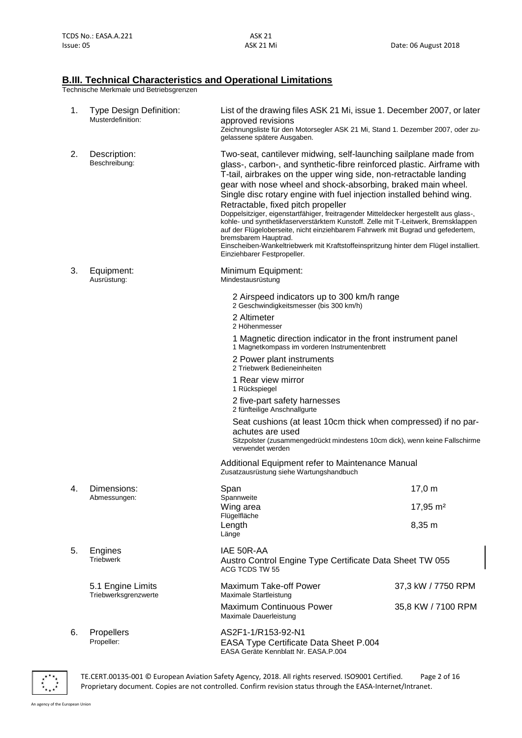## **B.III. Technical Characteristics and Operational Limitations**

Technische Merkmale und Betriebsgrenzen

| 1. | <b>Type Design Definition:</b><br>Musterdefinition: | List of the drawing files ASK 21 Mi, issue 1. December 2007, or later<br>approved revisions<br>Zeichnungsliste für den Motorsegler ASK 21 Mi, Stand 1. Dezember 2007, oder zu-<br>gelassene spätere Ausgaben.                                                                                                                                                                                                                                                                                                                                                                                                                                                                                                                                                                                                  |                      |  |
|----|-----------------------------------------------------|----------------------------------------------------------------------------------------------------------------------------------------------------------------------------------------------------------------------------------------------------------------------------------------------------------------------------------------------------------------------------------------------------------------------------------------------------------------------------------------------------------------------------------------------------------------------------------------------------------------------------------------------------------------------------------------------------------------------------------------------------------------------------------------------------------------|----------------------|--|
| 2. | Description:<br>Beschreibung:                       | Two-seat, cantilever midwing, self-launching sailplane made from<br>glass-, carbon-, and synthetic-fibre reinforced plastic. Airframe with<br>T-tail, airbrakes on the upper wing side, non-retractable landing<br>gear with nose wheel and shock-absorbing, braked main wheel.<br>Single disc rotary engine with fuel injection installed behind wing.<br>Retractable, fixed pitch propeller<br>Doppelsitziger, eigenstartfähiger, freitragender Mitteldecker hergestellt aus glass-,<br>kohle- und synthetikfaserverstärktem Kunstoff. Zelle mit T-Leitwerk, Bremsklappen<br>auf der Flügeloberseite, nicht einziehbarem Fahrwerk mit Bugrad und gefedertem,<br>bremsbarem Hauptrad.<br>Einscheiben-Wankeltriebwerk mit Kraftstoffeinspritzung hinter dem Flügel installiert.<br>Einziehbarer Festpropeller. |                      |  |
| З. | Equipment:<br>Ausrüstung:                           | Minimum Equipment:<br>Mindestausrüstung                                                                                                                                                                                                                                                                                                                                                                                                                                                                                                                                                                                                                                                                                                                                                                        |                      |  |
|    |                                                     | 2 Airspeed indicators up to 300 km/h range<br>2 Geschwindigkeitsmesser (bis 300 km/h)                                                                                                                                                                                                                                                                                                                                                                                                                                                                                                                                                                                                                                                                                                                          |                      |  |
|    |                                                     | 2 Altimeter<br>2 Höhenmesser                                                                                                                                                                                                                                                                                                                                                                                                                                                                                                                                                                                                                                                                                                                                                                                   |                      |  |
|    |                                                     | 1 Magnetic direction indicator in the front instrument panel<br>1 Magnetkompass im vorderen Instrumentenbrett                                                                                                                                                                                                                                                                                                                                                                                                                                                                                                                                                                                                                                                                                                  |                      |  |
|    |                                                     | 2 Power plant instruments<br>2 Triebwerk Bedieneinheiten                                                                                                                                                                                                                                                                                                                                                                                                                                                                                                                                                                                                                                                                                                                                                       |                      |  |
|    |                                                     | 1 Rear view mirror<br>1 Rückspiegel                                                                                                                                                                                                                                                                                                                                                                                                                                                                                                                                                                                                                                                                                                                                                                            |                      |  |
|    |                                                     | 2 five-part safety harnesses<br>2 fünfteilige Anschnallgurte                                                                                                                                                                                                                                                                                                                                                                                                                                                                                                                                                                                                                                                                                                                                                   |                      |  |
|    |                                                     | Seat cushions (at least 10cm thick when compressed) if no par-<br>achutes are used<br>Sitzpolster (zusammengedrückt mindestens 10cm dick), wenn keine Fallschirme<br>verwendet werden                                                                                                                                                                                                                                                                                                                                                                                                                                                                                                                                                                                                                          |                      |  |
|    |                                                     | Additional Equipment refer to Maintenance Manual<br>Zusatzausrüstung siehe Wartungshandbuch                                                                                                                                                                                                                                                                                                                                                                                                                                                                                                                                                                                                                                                                                                                    |                      |  |
| 4. | Dimensions:                                         | Span                                                                                                                                                                                                                                                                                                                                                                                                                                                                                                                                                                                                                                                                                                                                                                                                           | 17,0 m               |  |
|    | Abmessungen:                                        | Spannweite<br>Wing area                                                                                                                                                                                                                                                                                                                                                                                                                                                                                                                                                                                                                                                                                                                                                                                        | 17,95 m <sup>2</sup> |  |
|    |                                                     | Flügelfläche<br>Length<br>Länge                                                                                                                                                                                                                                                                                                                                                                                                                                                                                                                                                                                                                                                                                                                                                                                | 8,35 m               |  |
| 5. | Engines<br><b>Triebwerk</b>                         | IAE 50R-AA<br>Austro Control Engine Type Certificate Data Sheet TW 055<br>ACG TCDS TW 55                                                                                                                                                                                                                                                                                                                                                                                                                                                                                                                                                                                                                                                                                                                       |                      |  |
|    | 5.1 Engine Limits<br>Triebwerksgrenzwerte           | Maximum Take-off Power<br>Maximale Startleistung                                                                                                                                                                                                                                                                                                                                                                                                                                                                                                                                                                                                                                                                                                                                                               | 37,3 kW / 7750 RPM   |  |
|    |                                                     | <b>Maximum Continuous Power</b><br>Maximale Dauerleistung                                                                                                                                                                                                                                                                                                                                                                                                                                                                                                                                                                                                                                                                                                                                                      | 35,8 KW / 7100 RPM   |  |
| 6. | Propellers<br>Propeller:                            | AS2F1-1/R153-92-N1<br>EASA Type Certificate Data Sheet P.004<br>EASA Geräte Kennblatt Nr. EASA.P.004                                                                                                                                                                                                                                                                                                                                                                                                                                                                                                                                                                                                                                                                                                           |                      |  |



TE.CERT.00135-001 © European Aviation Safety Agency, 2018. All rights reserved. ISO9001 Certified. Page 2 of 16 Proprietary document. Copies are not controlled. Confirm revision status through the EASA-Internet/Intranet.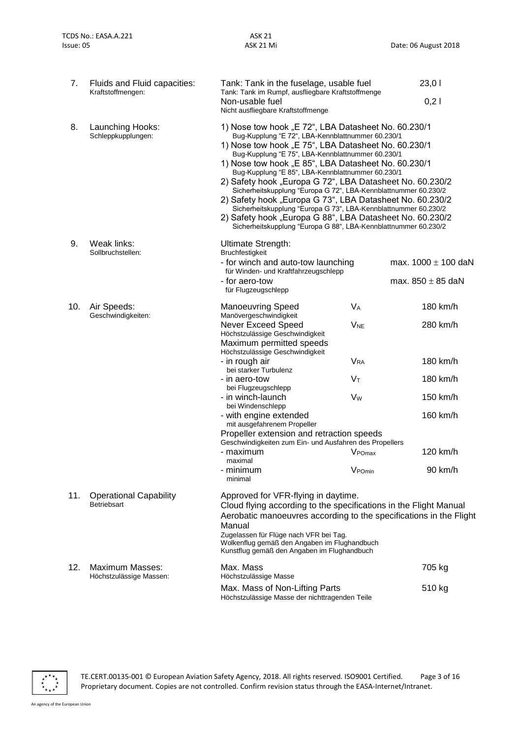| 7.  | Fluids and Fluid capacities:<br>Kraftstoffmengen:   | Tank: Tank in the fuselage, usable fuel<br>Tank: Tank im Rumpf, ausfliegbare Kraftstoffmenge                                                                                                                                                                                                                                                                                                                                                                                                                                                                                                                                                                                                                                  |                                                    | 23,01                   |
|-----|-----------------------------------------------------|-------------------------------------------------------------------------------------------------------------------------------------------------------------------------------------------------------------------------------------------------------------------------------------------------------------------------------------------------------------------------------------------------------------------------------------------------------------------------------------------------------------------------------------------------------------------------------------------------------------------------------------------------------------------------------------------------------------------------------|----------------------------------------------------|-------------------------|
|     |                                                     | Non-usable fuel<br>Nicht ausfliegbare Kraftstoffmenge                                                                                                                                                                                                                                                                                                                                                                                                                                                                                                                                                                                                                                                                         |                                                    | 0,21                    |
| 8.  | Launching Hooks:<br>Schleppkupplungen:              | 1) Nose tow hook "E 72", LBA Datasheet No. 60.230/1<br>Bug-Kupplung "E 72", LBA-Kennblattnummer 60.230/1<br>1) Nose tow hook "E 75", LBA Datasheet No. 60.230/1<br>Bug-Kupplung "E 75", LBA-Kennblattnummer 60.230/1<br>1) Nose tow hook "E 85", LBA Datasheet No. 60.230/1<br>Bug-Kupplung "E 85", LBA-Kennblattnummer 60.230/1<br>2) Safety hook "Europa G 72", LBA Datasheet No. 60.230/2<br>Sicherheitskupplung "Europa G 72", LBA-Kennblattnummer 60.230/2<br>2) Safety hook "Europa G 73", LBA Datasheet No. 60.230/2<br>Sicherheitskupplung "Europa G 73", LBA-Kennblattnummer 60.230/2<br>2) Safety hook "Europa G 88", LBA Datasheet No. 60.230/2<br>Sicherheitskupplung "Europa G 88", LBA-Kennblattnummer 60.230/2 |                                                    |                         |
| 9.  | Weak links:<br>Sollbruchstellen:                    | Ultimate Strength:<br><b>Bruchfestigkeit</b><br>- for winch and auto-tow launching                                                                                                                                                                                                                                                                                                                                                                                                                                                                                                                                                                                                                                            |                                                    | max. $1000 \pm 100$ daN |
|     |                                                     | für Winden- und Kraftfahrzeugschlepp<br>- for aero-tow<br>für Flugzeugschlepp                                                                                                                                                                                                                                                                                                                                                                                                                                                                                                                                                                                                                                                 |                                                    | max. $850 \pm 85$ daN   |
| 10. | Air Speeds:                                         | <b>Manoeuvring Speed</b>                                                                                                                                                                                                                                                                                                                                                                                                                                                                                                                                                                                                                                                                                                      | <b>V<sub>A</sub></b>                               | 180 km/h                |
|     | Geschwindigkeiten:                                  | Manövergeschwindigkeit<br><b>Never Exceed Speed</b><br>Höchstzulässige Geschwindigkeit<br>Maximum permitted speeds                                                                                                                                                                                                                                                                                                                                                                                                                                                                                                                                                                                                            | <b>V<sub>NE</sub></b>                              | 280 km/h                |
|     |                                                     | Höchstzulässige Geschwindigkeit<br>- in rough air<br>bei starker Turbulenz                                                                                                                                                                                                                                                                                                                                                                                                                                                                                                                                                                                                                                                    | <b>V<sub>RA</sub></b>                              | 180 km/h                |
|     |                                                     | - in aero-tow<br>bei Flugzeugschlepp                                                                                                                                                                                                                                                                                                                                                                                                                                                                                                                                                                                                                                                                                          | Vт                                                 | 180 km/h                |
|     |                                                     | - in winch-launch<br>bei Windenschlepp                                                                                                                                                                                                                                                                                                                                                                                                                                                                                                                                                                                                                                                                                        | <b>V<sub>w</sub></b>                               | 150 km/h                |
|     |                                                     | - with engine extended<br>mit ausgefahrenem Propeller                                                                                                                                                                                                                                                                                                                                                                                                                                                                                                                                                                                                                                                                         |                                                    | 160 km/h                |
|     |                                                     | Propeller extension and retraction speeds<br>Geschwindigkeiten zum Ein- und Ausfahren des Propellers<br>- maximum<br>maximal<br>- minimum<br>minimal                                                                                                                                                                                                                                                                                                                                                                                                                                                                                                                                                                          | V <sub>POmax</sub><br>$\sqrt{ }$<br><b>V</b> POmin | 120 km/h<br>90 km/h     |
| 11. | <b>Operational Capability</b><br><b>Betriebsart</b> | Approved for VFR-flying in daytime.<br>Cloud flying according to the specifications in the Flight Manual<br>Aerobatic manoeuvres according to the specifications in the Flight<br>Manual<br>Zugelassen für Flüge nach VFR bei Tag.<br>Wolkenflug gemäß den Angaben im Flughandbuch<br>Kunstflug gemäß den Angaben im Flughandbuch                                                                                                                                                                                                                                                                                                                                                                                             |                                                    |                         |
| 12. | <b>Maximum Masses:</b><br>Höchstzulässige Massen:   | Max. Mass<br>Höchstzulässige Masse                                                                                                                                                                                                                                                                                                                                                                                                                                                                                                                                                                                                                                                                                            |                                                    | 705 kg                  |
|     |                                                     | Max. Mass of Non-Lifting Parts<br>Höchstzulässige Masse der nichttragenden Teile                                                                                                                                                                                                                                                                                                                                                                                                                                                                                                                                                                                                                                              |                                                    | 510 kg                  |



TE.CERT.00135-001 © European Aviation Safety Agency, 2018. All rights reserved. ISO9001 Certified. Page 3 of 16 Proprietary document. Copies are not controlled. Confirm revision status through the EASA-Internet/Intranet.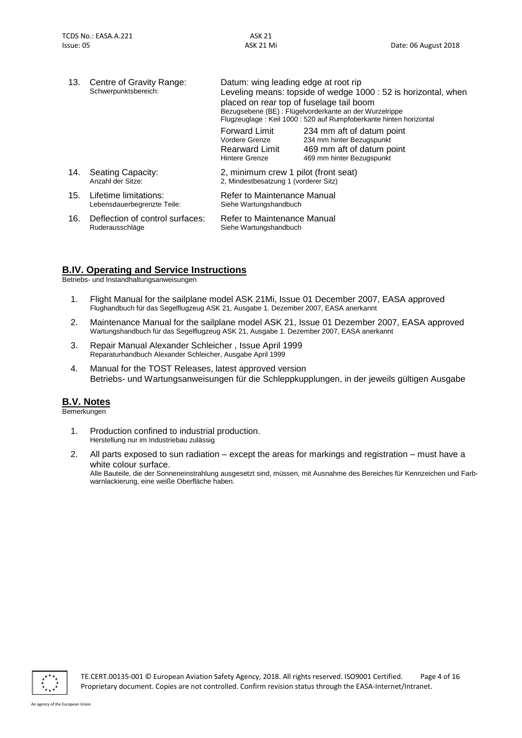| 13. | Centre of Gravity Range:<br>Schwerpunktsbereich:     | Datum: wing leading edge at root rip<br>Leveling means: topside of wedge 1000 : 52 is horizontal, when<br>placed on rear top of fuselage tail boom<br>Bezugsebene (BE) : Flügelvorderkante an der Wurzelrippe<br>Flugzeuglage: Keil 1000: 520 auf Rumpfoberkante hinten horizontal |                                                                                                                  |  |
|-----|------------------------------------------------------|------------------------------------------------------------------------------------------------------------------------------------------------------------------------------------------------------------------------------------------------------------------------------------|------------------------------------------------------------------------------------------------------------------|--|
|     |                                                      | Forward Limit<br>Vordere Grenze<br><b>Rearward Limit</b><br>Hintere Grenze                                                                                                                                                                                                         | 234 mm aft of datum point<br>234 mm hinter Bezugspunkt<br>469 mm aft of datum point<br>469 mm hinter Bezugspunkt |  |
| 14. | Seating Capacity:<br>Anzahl der Sitze:               | 2, minimum crew 1 pilot (front seat)<br>2. Mindestbesatzung 1 (vorderer Sitz)                                                                                                                                                                                                      |                                                                                                                  |  |
| 15. | Lifetime limitations:<br>Lebensdauerbegrenzte Teile: | Refer to Maintenance Manual<br>Siehe Wartungshandbuch                                                                                                                                                                                                                              |                                                                                                                  |  |
| 16. | Deflection of control surfaces:<br>Ruderausschläge   | Refer to Maintenance Manual<br>Siehe Wartungshandbuch                                                                                                                                                                                                                              |                                                                                                                  |  |

## **B.IV. Operating and Service Instructions**

Betriebs- und Instandhaltungsanweisungen

- 1. Flight Manual for the sailplane model ASK 21Mi, Issue 01 December 2007, EASA approved Flughandbuch für das Segelflugzeug ASK 21, Ausgabe 1. Dezember 2007, EASA anerkannt
- 2. Maintenance Manual for the sailplane model ASK 21, Issue 01 Dezember 2007, EASA approved Wartungshandbuch für das Segelflugzeug ASK 21, Ausgabe 1. Dezember 2007, EASA anerkannt
- 3. Repair Manual Alexander Schleicher , Issue April 1999 Reparaturhandbuch Alexander Schleicher, Ausgabe April 1999
- 4. Manual for the TOST Releases, latest approved version Betriebs- und Wartungsanweisungen für die Schleppkupplungen, in der jeweils gültigen Ausgabe

## **B.V. Notes**

Bemerkungen

- 1. Production confined to industrial production. Herstellung nur im Industriebau zulässig
- 2. All parts exposed to sun radiation except the areas for markings and registration must have a white colour surface. Alle Bauteile, die der Sonneneinstrahlung ausgesetzt sind, müssen, mit Ausnahme des Bereiches für Kennzeichen und Farbwarnlackierung, eine weiße Oberfläche haben.



TE.CERT.00135-001 © European Aviation Safety Agency, 2018. All rights reserved. ISO9001 Certified. Page 4 of 16 Proprietary document. Copies are not controlled. Confirm revision status through the EASA-Internet/Intranet.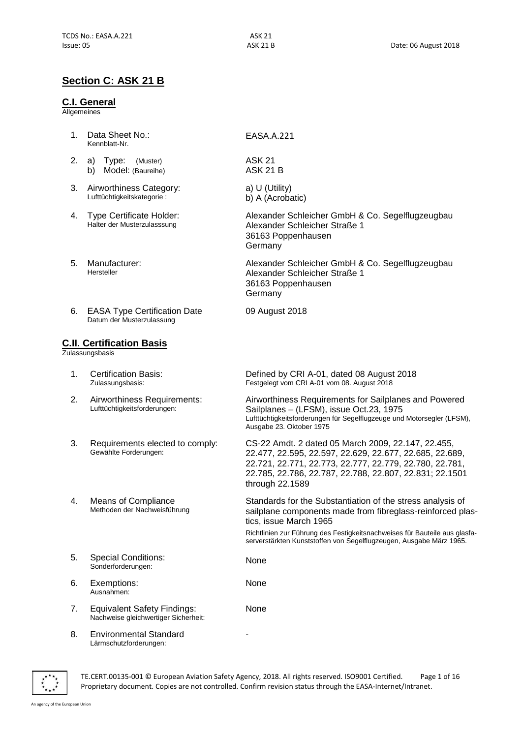## **Section C: [ASK 21 B](#page-0-2)**

#### **C.I. General**

**Allgemeines** 

- 1. Data Sheet No.: Kennblatt-Nr.
- 2. a) Type: (Muster) b) Model: (Baureihe)
- 3. Airworthiness Category: Lufttüchtigkeitskategorie :
- 4. Type Certificate Holder: Halter der Musterzulasssung
- 5. Manufacturer: Hersteller
- 6. EASA Type Certification Date Datum der Musterzulassung

#### **C.II. Certification Basis**

**Zulassungsbasis** 

- 1. Certification Basis: Zulassungsbasis:
- 2. Airworthiness Requirements: Lufttüchtigkeitsforderungen:
- 3. Requirements elected to comply: Gewählte Forderungen:
- 4. Means of Compliance Methoden der Nachweisführung
- 5. Special Conditions: Sonderforderungen:
- 6. Exemptions: Ausnahmen:
- 7. Equivalent Safety Findings: Nachweise gleichwertiger Sicherheit:
- 8. Environmental Standard Lärmschutzforderungen:

EASA.[A.221](#page-0-3)

ASK 21 ASK 21 B

a) U (Utility) b) A (Acrobatic)

Alexander Schleicher GmbH & Co. Segelflugzeugbau Alexander Schleicher Straße 1 36163 Poppenhausen **Germany** 

Alexander Schleicher GmbH & Co. Segelflugzeugbau Alexander Schleicher Straße 1 36163 Poppenhausen Germany

09 August 2018

Defined by CRI A-01, dated 08 August 2018 Festgelegt vom CRI A-01 vom 08. August 2018

Airworthiness Requirements for Sailplanes and Powered Sailplanes – (LFSM), issue Oct.23, 1975 Lufttüchtigkeitsforderungen für Segelflugzeuge und Motorsegler (LFSM), Ausgabe 23. Oktober 1975

CS-22 Amdt. 2 dated 05 March 2009, 22.147, 22.455, 22.477, 22.595, 22.597, 22.629, 22.677, 22.685, 22.689, 22.721, 22.771, 22.773, 22.777, 22.779, 22.780, 22.781, 22.785, 22.786, 22.787, 22.788, 22.807, 22.831; 22.1501 through 22.1589

Standards for the Substantiation of the stress analysis of sailplane components made from fibreglass-reinforced plastics, issue March 1965

Richtlinien zur Führung des Festigkeitsnachweises für Bauteile aus glasfaserverstärkten Kunststoffen von Segelflugzeugen, Ausgabe März 1965.

None

None

None

-

TE.CERT.00135-001 © European Aviation Safety Agency, 2018. All rights reserved. ISO9001 Certified. Page 1 of 16 Proprietary document. Copies are not controlled. Confirm revision status through the EASA-Internet/Intranet.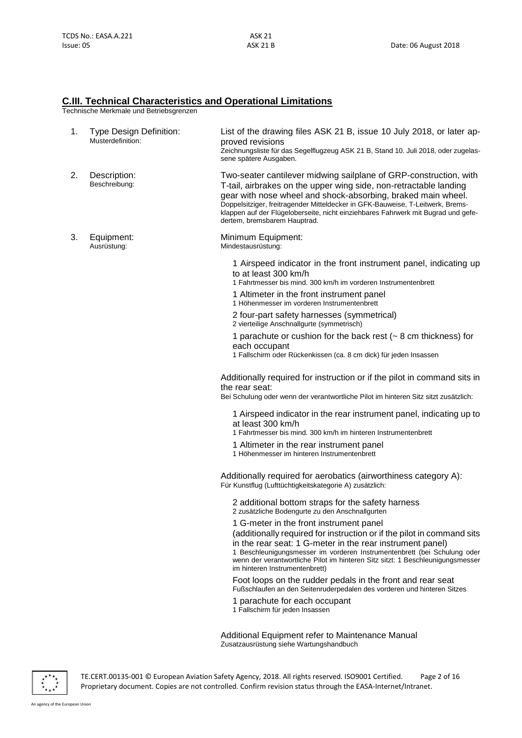#### **C.III. Technical Characteristics and Operational Limitations**

Technische Merkmale und Betriebsgrenzen

| 1. | <b>Type Design Definition:</b><br>Musterdefinition: | List of the drawing files ASK 21 B, issue 10 July 2018, or later ap-<br>proved revisions<br>Zeichnungsliste für das Segelflugzeug ASK 21 B, Stand 10. Juli 2018, oder zugelas-<br>sene spätere Ausgaben.                                                                                                                                                                                                      |
|----|-----------------------------------------------------|---------------------------------------------------------------------------------------------------------------------------------------------------------------------------------------------------------------------------------------------------------------------------------------------------------------------------------------------------------------------------------------------------------------|
| 2. | Description:<br>Beschreibung:                       | Two-seater cantilever midwing sailplane of GRP-construction, with<br>T-tail, airbrakes on the upper wing side, non-retractable landing<br>gear with nose wheel and shock-absorbing, braked main wheel.<br>Doppelsitziger, freitragender Mitteldecker in GFK-Bauweise, T-Leitwerk, Brems-<br>klappen auf der Flügeloberseite, nicht einziehbares Fahrwerk mit Bugrad und gefe-<br>dertem, bremsbarem Hauptrad. |
| З. | Equipment:<br>Ausrüstung:                           | Minimum Equipment:<br>Mindestausrüstung:                                                                                                                                                                                                                                                                                                                                                                      |
|    |                                                     | 1 Airspeed indicator in the front instrument panel, indicating up<br>to at least 300 km/h<br>1 Fahrtmesser bis mind. 300 km/h im vorderen Instrumentenbrett                                                                                                                                                                                                                                                   |
|    |                                                     | 1 Altimeter in the front instrument panel<br>1 Höhenmesser im vorderen Instrumentenbrett                                                                                                                                                                                                                                                                                                                      |
|    |                                                     | 2 four-part safety harnesses (symmetrical)<br>2 vierteilige Anschnallgurte (symmetrisch)                                                                                                                                                                                                                                                                                                                      |
|    |                                                     | 1 parachute or cushion for the back rest ( $\sim$ 8 cm thickness) for<br>each occupant<br>1 Fallschirm oder Rückenkissen (ca. 8 cm dick) für jeden Insassen                                                                                                                                                                                                                                                   |
|    |                                                     | Additionally required for instruction or if the pilot in command sits in<br>the rear seat:<br>Bei Schulung oder wenn der verantwortliche Pilot im hinteren Sitz sitzt zusätzlich:                                                                                                                                                                                                                             |
|    |                                                     | 1 Airspeed indicator in the rear instrument panel, indicating up to<br>at least 300 km/h<br>1 Fahrtmesser bis mind. 300 km/h im hinteren Instrumentenbrett                                                                                                                                                                                                                                                    |
|    |                                                     | 1 Altimeter in the rear instrument panel<br>1 Höhenmesser im hinteren Instrumentenbrett                                                                                                                                                                                                                                                                                                                       |
|    |                                                     | Additionally required for aerobatics (airworthiness category A):<br>Für Kunstflug (Lufttüchtigkeitskategorie A) zusätzlich:                                                                                                                                                                                                                                                                                   |
|    |                                                     | 2 additional bottom straps for the safety harness<br>2 zusätzliche Bodengurte zu den Anschnallgurten                                                                                                                                                                                                                                                                                                          |
|    |                                                     | 1 G-meter in the front instrument panel<br>(additionally required for instruction or if the pilot in command sits<br>in the rear seat: 1 G-meter in the rear instrument panel)<br>1 Beschleunigungsmesser im vorderen Instrumentenbrett (bei Schulung oder<br>wenn der verantwortliche Pilot im hinteren Sitz sitzt: 1 Beschleunigungsmesser<br>im hinteren Instrumentenbrett)                                |
|    |                                                     | Foot loops on the rudder pedals in the front and rear seat<br>Fußschlaufen an den Seitenruderpedalen des vorderen und hinteren Sitzes                                                                                                                                                                                                                                                                         |
|    |                                                     | 1 parachute for each occupant<br>1 Fallschirm für jeden Insassen                                                                                                                                                                                                                                                                                                                                              |
|    |                                                     | Additional Equipment refer to Maintenance Manual                                                                                                                                                                                                                                                                                                                                                              |

Zusatzausrüstung siehe Wartungshandbuch



TE.CERT.00135-001 © European Aviation Safety Agency, 2018. All rights reserved. ISO9001 Certified. Page 2 of 16 Proprietary document. Copies are not controlled. Confirm revision status through the EASA-Internet/Intranet.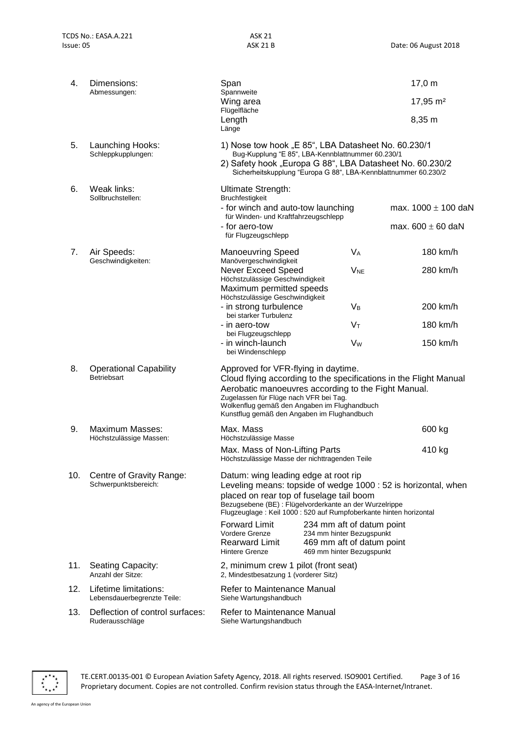| 4.  | Dimensions:<br>Abmessungen:                          | Span<br>Spannweite                                                                                                           |                                                                                                                                                                                                                                         | 17,0 m                                                            |
|-----|------------------------------------------------------|------------------------------------------------------------------------------------------------------------------------------|-----------------------------------------------------------------------------------------------------------------------------------------------------------------------------------------------------------------------------------------|-------------------------------------------------------------------|
|     |                                                      | Wing area<br>Flügelfläche                                                                                                    |                                                                                                                                                                                                                                         | 17,95 m <sup>2</sup>                                              |
|     |                                                      | Length<br>Länge                                                                                                              |                                                                                                                                                                                                                                         | 8,35 m                                                            |
| 5.  | Launching Hooks:<br>Schleppkupplungen:               |                                                                                                                              | 1) Nose tow hook "E 85", LBA Datasheet No. 60.230/1<br>Bug-Kupplung "E 85", LBA-Kennblattnummer 60.230/1<br>2) Safety hook "Europa G 88", LBA Datasheet No. 60.230/2<br>Sicherheitskupplung "Europa G 88", LBA-Kennblattnummer 60.230/2 |                                                                   |
| 6.  | Weak links:<br>Sollbruchstellen:                     | Ultimate Strength:<br><b>Bruchfestigkeit</b>                                                                                 |                                                                                                                                                                                                                                         |                                                                   |
|     |                                                      | - for winch and auto-tow launching<br>für Winden- und Kraftfahrzeugschlepp                                                   |                                                                                                                                                                                                                                         | max. $1000 \pm 100$ daN                                           |
|     |                                                      | - for aero-tow<br>für Flugzeugschlepp                                                                                        |                                                                                                                                                                                                                                         | max. $600 \pm 60$ daN                                             |
| 7.  | Air Speeds:<br>Geschwindigkeiten:                    | <b>Manoeuvring Speed</b><br>Manövergeschwindigkeit                                                                           | <b>V<sub>A</sub></b>                                                                                                                                                                                                                    | 180 km/h                                                          |
|     |                                                      | <b>Never Exceed Speed</b><br>Höchstzulässige Geschwindigkeit                                                                 | <b>V<sub>NE</sub></b>                                                                                                                                                                                                                   | 280 km/h                                                          |
|     |                                                      | Maximum permitted speeds<br>Höchstzulässige Geschwindigkeit<br>- in strong turbulence                                        | <b>V<sub>B</sub></b>                                                                                                                                                                                                                    | 200 km/h                                                          |
|     |                                                      | bei starker Turbulenz<br>- in aero-tow                                                                                       | $V_T$                                                                                                                                                                                                                                   | 180 km/h                                                          |
|     |                                                      | bei Flugzeugschlepp<br>- in winch-launch<br>bei Windenschlepp                                                                | <b>V<sub>w</sub></b>                                                                                                                                                                                                                    | $150$ km/h                                                        |
| 8.  | <b>Operational Capability</b><br>Betriebsart         | Approved for VFR-flying in daytime.<br>Zugelassen für Flüge nach VFR bei Tag.<br>Kunstflug gemäß den Angaben im Flughandbuch | Aerobatic manoeuvres according to the Fight Manual.<br>Wolkenflug gemäß den Angaben im Flughandbuch                                                                                                                                     | Cloud flying according to the specifications in the Flight Manual |
| 9.  | <b>Maximum Masses:</b><br>Höchstzulässige Massen:    | Max. Mass<br>Höchstzulässige Masse                                                                                           |                                                                                                                                                                                                                                         | 600 kg                                                            |
|     |                                                      | Max. Mass of Non-Lifting Parts<br>Höchstzulässige Masse der nichttragenden Teile                                             |                                                                                                                                                                                                                                         | 410 kg                                                            |
| 10. | Centre of Gravity Range:<br>Schwerpunktsbereich:     | Datum: wing leading edge at root rip<br>placed on rear top of fuselage tail boom                                             | Bezugsebene (BE) : Flügelvorderkante an der Wurzelrippe<br>Flugzeuglage: Keil 1000: 520 auf Rumpfoberkante hinten horizontal                                                                                                            | Leveling means: topside of wedge 1000 : 52 is horizontal, when    |
|     |                                                      | <b>Forward Limit</b><br>Vordere Grenze<br><b>Rearward Limit</b><br><b>Hintere Grenze</b>                                     | 234 mm aft of datum point<br>234 mm hinter Bezugspunkt<br>469 mm aft of datum point<br>469 mm hinter Bezugspunkt                                                                                                                        |                                                                   |
| 11. | Seating Capacity:<br>Anzahl der Sitze:               | 2, minimum crew 1 pilot (front seat)<br>2, Mindestbesatzung 1 (vorderer Sitz)                                                |                                                                                                                                                                                                                                         |                                                                   |
| 12. | Lifetime limitations:<br>Lebensdauerbegrenzte Teile: | Refer to Maintenance Manual<br>Siehe Wartungshandbuch                                                                        |                                                                                                                                                                                                                                         |                                                                   |
| 13. | Deflection of control surfaces:<br>Ruderausschläge   | Refer to Maintenance Manual<br>Siehe Wartungshandbuch                                                                        |                                                                                                                                                                                                                                         |                                                                   |
|     |                                                      |                                                                                                                              |                                                                                                                                                                                                                                         |                                                                   |



TE.CERT.00135-001 © European Aviation Safety Agency, 2018. All rights reserved. ISO9001 Certified. Page 3 of 16 Proprietary document. Copies are not controlled. Confirm revision status through the EASA-Internet/Intranet.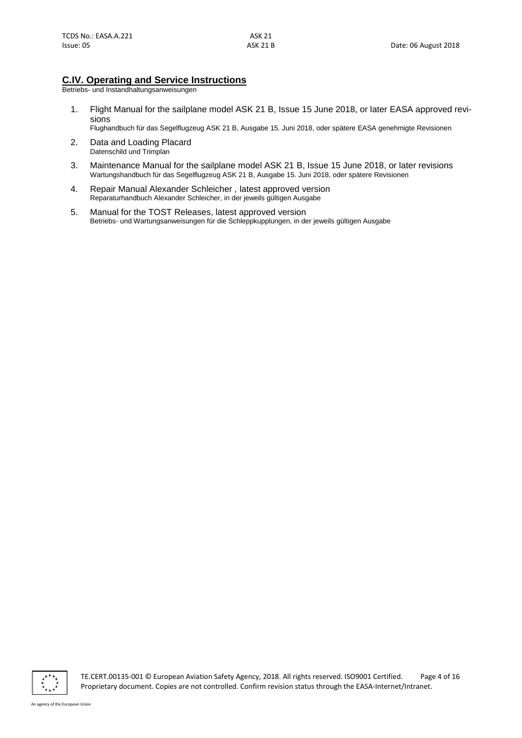## **C.IV. Operating and Service Instructions**

Betriebs- und Instandhaltungsanweisungen

1. Flight Manual for the sailplane model ASK 21 B, Issue 15 June 2018, or later EASA approved revisions

Flughandbuch für das Segelflugzeug ASK 21 B, Ausgabe 15. Juni 2018, oder spätere EASA genehmigte Revisionen

- 2. Data and Loading Placard Datenschild und Trimplan
- 3. Maintenance Manual for the sailplane model ASK 21 B, Issue 15 June 2018, or later revisions Wartungshandbuch für das Segelflugzeug ASK 21 B, Ausgabe 15. Juni 2018, oder spätere Revisionen
- 4. Repair Manual Alexander Schleicher , latest approved version Reparaturhandbuch Alexander Schleicher, in der jeweils gültigen Ausgabe
- 5. Manual for the TOST Releases, latest approved version Betriebs- und Wartungsanweisungen für die Schleppkupplungen, in der jeweils gültigen Ausgabe

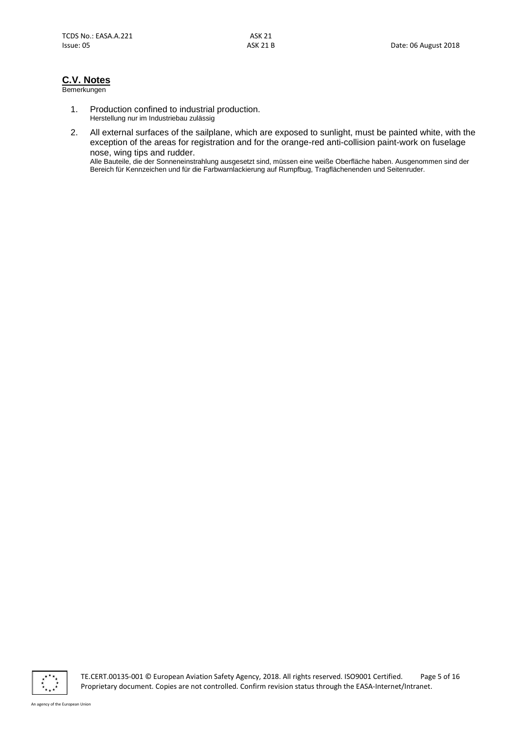## **C.V. Notes**

#### Bemerkungen

- 1. Production confined to industrial production. Herstellung nur im Industriebau zulässig
- 2. All external surfaces of the sailplane, which are exposed to sunlight, must be painted white, with the exception of the areas for registration and for the orange-red anti-collision paint-work on fuselage nose, wing tips and rudder.

Alle Bauteile, die der Sonneneinstrahlung ausgesetzt sind, müssen eine weiße Oberfläche haben. Ausgenommen sind der Bereich für Kennzeichen und für die Farbwarnlackierung auf Rumpfbug, Tragflächenenden und Seitenruder.



TE.CERT.00135-001 © European Aviation Safety Agency, 2018. All rights reserved. ISO9001 Certified. Page 5 of 16 Proprietary document. Copies are not controlled. Confirm revision status through the EASA-Internet/Intranet.